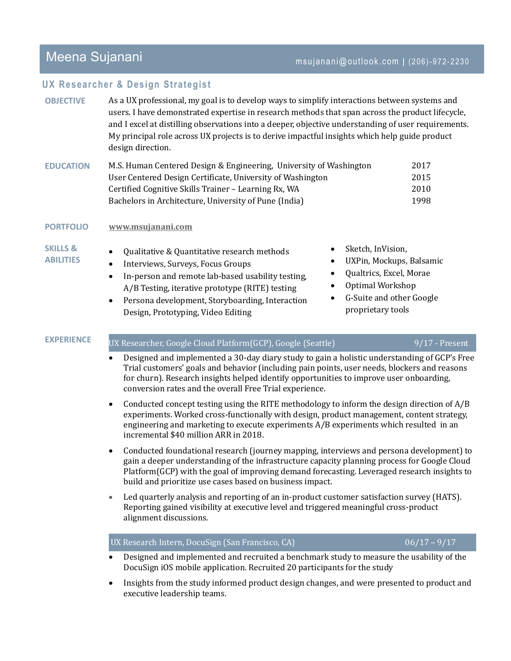# Meena Sujanani maana ka kale ka maalimaan imsujanani@outlook.com | (206)-972-2230

## **UX Researcher & Design Strategist**

| <b>OBJECTIVE</b>                        | As a UX professional, my goal is to develop ways to simplify interactions between systems and<br>users. I have demonstrated expertise in research methods that span across the product lifecycle,<br>and I excel at distilling observations into a deeper, objective understanding of user requirements.<br>My principal role across UX projects is to derive impactful insights which help guide product<br>design direction.                                                                                     |                                |  |  |  |  |
|-----------------------------------------|--------------------------------------------------------------------------------------------------------------------------------------------------------------------------------------------------------------------------------------------------------------------------------------------------------------------------------------------------------------------------------------------------------------------------------------------------------------------------------------------------------------------|--------------------------------|--|--|--|--|
| <b>EDUCATION</b>                        | M.S. Human Centered Design & Engineering, University of Washington<br>User Centered Design Certificate, University of Washington<br>Certified Cognitive Skills Trainer - Learning Rx, WA<br>Bachelors in Architecture, University of Pune (India)                                                                                                                                                                                                                                                                  | 2017<br>2015<br>2010<br>1998   |  |  |  |  |
| <b>PORTFOLIO</b>                        | www.msujanani.com                                                                                                                                                                                                                                                                                                                                                                                                                                                                                                  |                                |  |  |  |  |
| <b>SKILLS &amp;</b><br><b>ABILITIES</b> | Sketch, InVision,<br>٠<br>Qualitative & Quantitative research methods<br>$\bullet$<br>UXPin, Mockups, Balsamic<br>٠<br>Interviews, Surveys, Focus Groups<br>$\bullet$<br>Qualtrics, Excel, Morae<br>٠<br>In-person and remote lab-based usability testing,<br>$\bullet$<br>Optimal Workshop<br>$\bullet$<br>A/B Testing, iterative prototype (RITE) testing<br>G-Suite and other Google<br>Persona development, Storyboarding, Interaction<br>$\bullet$<br>proprietary tools<br>Design, Prototyping, Video Editing |                                |  |  |  |  |
| <b>EXPERIENCE</b>                       | UX Researcher, Google Cloud Platform(GCP), Google (Seattle)                                                                                                                                                                                                                                                                                                                                                                                                                                                        | $9/17$ - Present               |  |  |  |  |
|                                         | Designed and implemented a 30-day diary study to gain a holistic understanding of GCP's Free<br>$\bullet$<br>Trial customers' goals and behavior (including pain points, user needs, blockers and reasons<br>for churn). Research insights helped identify opportunities to improve user onboarding,<br>conversion rates and the overall Free Trial experience.                                                                                                                                                    |                                |  |  |  |  |
|                                         | Conducted concept testing using the RITE methodology to inform the design direction of A/B<br>$\bullet$<br>experiments. Worked cross-functionally with design, product management, content strategy,<br>engineering and marketing to execute experiments A/B experiments which resulted in an<br>incremental \$40 million ARR in 2018.                                                                                                                                                                             |                                |  |  |  |  |
|                                         | Conducted foundational research (journey mapping, interviews and persona development) to<br>$\bullet$<br>gain a deeper understanding of the infrastructure capacity planning process for Google Cloud<br>Platform(GCP) with the goal of improving demand forecasting. Leveraged research insights to<br>build and prioritize use cases based on business impact.                                                                                                                                                   |                                |  |  |  |  |
|                                         | Led quarterly analysis and reporting of an in-product customer satisfaction survey (HATS).<br>$\bullet$<br>Reporting gained visibility at executive level and triggered meaningful cross-product<br>alignment discussions.                                                                                                                                                                                                                                                                                         |                                |  |  |  |  |
|                                         |                                                                                                                                                                                                                                                                                                                                                                                                                                                                                                                    |                                |  |  |  |  |
|                                         | UX Research Intern, DocuSign (San Francisco, CA)<br>Designed and implemented and recruited a benchmark study to measure the usability of the                                                                                                                                                                                                                                                                                                                                                                       | $\frac{06}{17} - \frac{9}{17}$ |  |  |  |  |

 Insights from the study informed product design changes, and were presented to product and executive leadership teams.